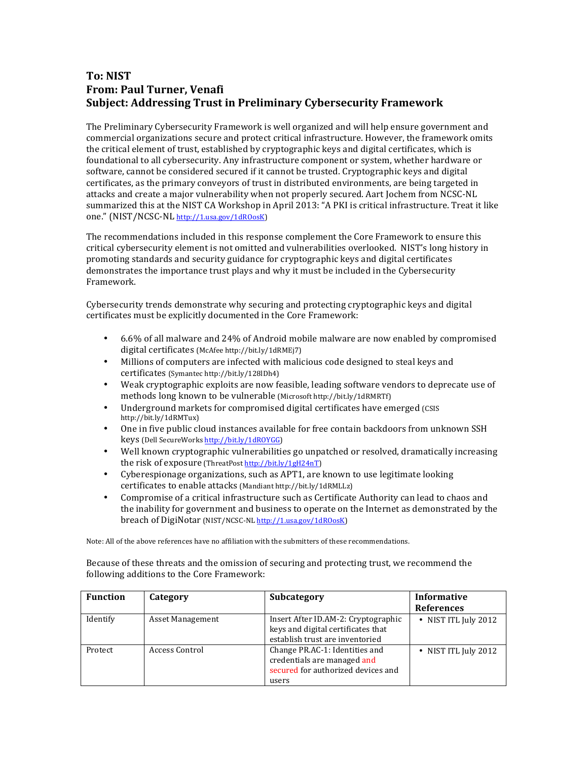## **To: NIST From: Paul Turner, Venafi Subject: Addressing Trust in Preliminary Cybersecurity Framework**

The Preliminary Cybersecurity Framework is well organized and will help ensure government and commercial organizations secure and protect critical infrastructure. However, the framework omits the critical element of trust, established by cryptographic keys and digital certificates, which is foundational to all cybersecurity. Any infrastructure component or system, whether hardware or software, cannot be considered secured if it cannot be trusted. Cryptographic keys and digital certificates, as the primary conveyors of trust in distributed environments, are being targeted in attacks and create a major vulnerability when not properly secured. Aart Jochem from NCSC-NL summarized this at the NIST CA Workshop in April 2013: "A PKI is critical infrastructure. Treat it like one." (NIST/NCSC-NL http://1.usa.gov/1dROosK)

The recommendations included in this response complement the Core Framework to ensure this critical cybersecurity element is not omitted and vulnerabilities overlooked. NIST's long history in promoting standards and security guidance for cryptographic keys and digital certificates demonstrates the importance trust plays and why it must be included in the Cybersecurity Framework.

Cybersecurity trends demonstrate why securing and protecting cryptographic keys and digital certificates must be explicitly documented in the Core Framework:

- 6.6% of all malware and 24% of Android mobile malware are now enabled by compromised digital certificates (McAfee http://bit.ly/1dRMEj7)
- • Millions of computers are infected with malicious code designed to steal keys and certificates (Symantec http://bit.ly/128lDh4)
- Weak cryptographic exploits are now feasible, leading software vendors to deprecate use of methods long known to be vulnerable (Microsoft http://bit.ly/1dRMRTf)
- Underground markets for compromised digital certificates have emerged (CSIS http://bit.ly/1dRMTux)
- One in five public cloud instances available for free contain backdoors from unknown SSH keys (Dell SecureWorks http://bit.ly/1dROYGG)
- Well known cryptographic vulnerabilities go unpatched or resolved, dramatically increasing the risk of exposure (ThreatPost http://bit.ly/1gH24nT)
- Cyberespionage organizations, such as APT1, are known to use legitimate looking certificates to enable attacks (Mandiant http://bit.ly/1dRMLLz)
- Compromise of a critical infrastructure such as Certificate Authority can lead to chaos and the inability for government and business to operate on the Internet as demonstrated by the breach of DigiNotar (NIST/NCSC-NL http://1.usa.gov/1dROosK)

Note: All of the above references have no affiliation with the submitters of these recommendations.

Because of these threats and the omission of securing and protecting trust, we recommend the following additions to the Core Framework:

| <b>Function</b> | Category         | <b>Subcategory</b>                                                                                           | Informative        |
|-----------------|------------------|--------------------------------------------------------------------------------------------------------------|--------------------|
|                 |                  |                                                                                                              | <b>References</b>  |
| Identify        | Asset Management | Insert After ID.AM-2: Cryptographic<br>keys and digital certificates that<br>establish trust are inventoried | NIST ITL July 2012 |
| Protect         | Access Control   | Change PR.AC-1: Identities and<br>credentials are managed and<br>secured for authorized devices and<br>users | NIST ITL July 2012 |